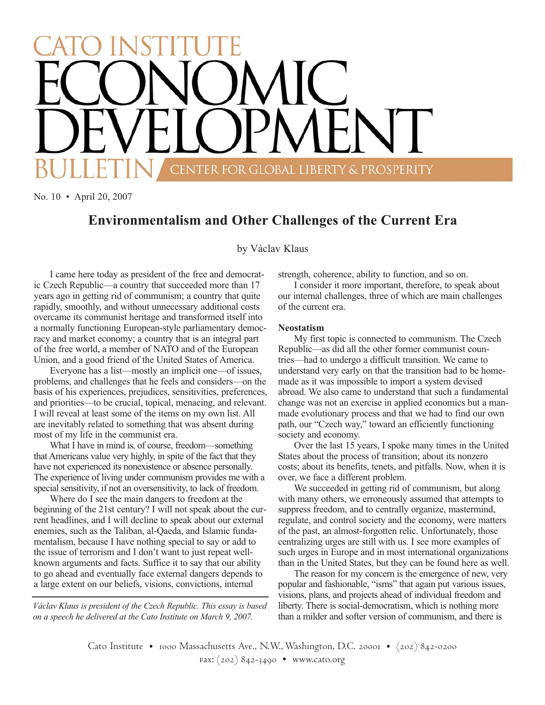# CENTER FOR GLOBAL LIBERTY & PROSPERITY

No. 10 • April 20, 2007

# **Environmentalism and Other Challenges of the Current Era**

by Václav Klaus

I came here today as president of the free and democratic Czech Republic—a country that succeeded more than 17 years ago in getting rid of communism; a country that quite rapidly, smoothly, and without unnecessary additional costs overcame its communist heritage and transformed itself into a normally functioning European-style parliamentary democracy and market economy; a country that is an integral part of the free world, a member of NATO and of the European Union, and a good friend of the United States of America.

Everyone has a list—mostly an implicit one—of issues, problems, and challenges that he feels and considers—on the basis of his experiences, prejudices, sensitivities, preferences, and priorities—to be crucial, topical, menacing, and relevant. I will reveal at least some of the items on my own list. All are inevitably related to something that was absent during most of my life in the communist era.

What I have in mind is, of course, freedom—something that Americans value very highly, in spite of the fact that they have not experienced its nonexistence or absence personally. The experience of living under communism provides me with a special sensitivity, if not an oversensitivity, to lack of freedom.

Where do I see the main dangers to freedom at the beginning of the 21st century? I will not speak about the current headlines, and I will decline to speak about our external enemies, such as the Taliban, al-Qaeda, and Islamic fundamentalism, because I have nothing special to say or add to the issue of terrorism and I don't want to just repeat wellknown arguments and facts. Suffice it to say that our ability to go ahead and eventually face external dangers depends to a large extent on our beliefs, visions, convictions, internal

*Václav Klaus is president of the Czech Republic. This essay is based on a speech he delivered at the Cato Institute on March 9, 2007.*

strength, coherence, ability to function, and so on.

I consider it more important, therefore, to speak about our internal challenges, three of which are main challenges of the current era.

### **Neostatism**

My first topic is connected to communism. The Czech Republic—as did all the other former communist countries—had to undergo a difficult transition. We came to understand very early on that the transition had to be homemade as it was impossible to import a system devised abroad. We also came to understand that such a fundamental change was not an exercise in applied economics but a manmade evolutionary process and that we had to find our own path, our "Czech way," toward an efficiently functioning society and economy.

Over the last 15 years, I spoke many times in the United States about the process of transition; about its nonzero costs; about its benefits, tenets, and pitfalls. Now, when it is over, we face a different problem.

We succeeded in getting rid of communism, but along with many others, we erroneously assumed that attempts to suppress freedom, and to centrally organize, mastermind, regulate, and control society and the economy, were matters of the past, an almost-forgotten relic. Unfortunately, those centralizing urges are still with us. I see more examples of such urges in Europe and in most international organizations than in the United States, but they can be found here as well.

The reason for my concern is the emergence of new, very popular and fashionable, "isms" that again put various issues, visions, plans, and projects ahead of individual freedom and liberty. There is social-democratism, which is nothing more than a milder and softer version of communism, and there is

Cato Institute • 1000 Massachusetts Ave., N.W., Washington, D.C. 20001 • (202) 842-0200 fax: (202) 842-3490 • www.cato.org